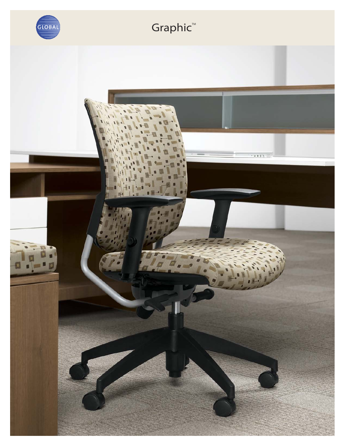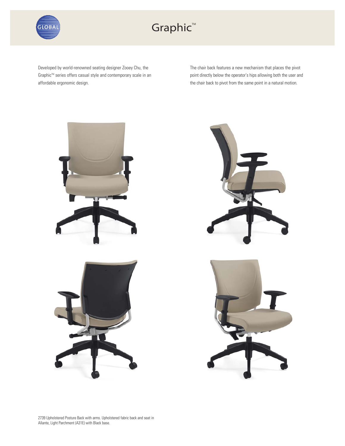

## Graphic<sup>™</sup>

Developed by world-renowned seating designer Zooey Chu, the Graphic™ series offers casual style and contemporary scale in an affordable ergonomic design.

The chair back features a new mechanism that places the pivot point directly below the operator's hips allowing both the user and the chair back to pivot from the same point in a natural motion.



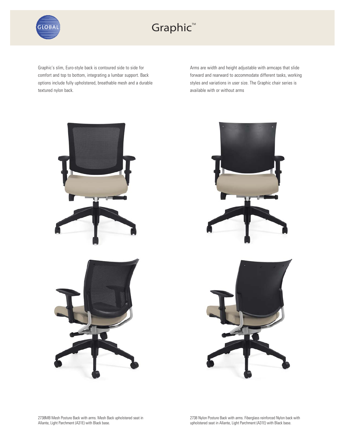

## Graphic™

Graphic's slim, Euro-style back is contoured side to side for comfort and top to bottom, integrating a lumbar support. Back options include fully upholstered, breathable mesh and a durable textured nylon back.

Arms are width and height adjustable with armcaps that slide forward and rearward to accommodate different tasks, working styles and variations in user size. The Graphic chair series is available with or without arms



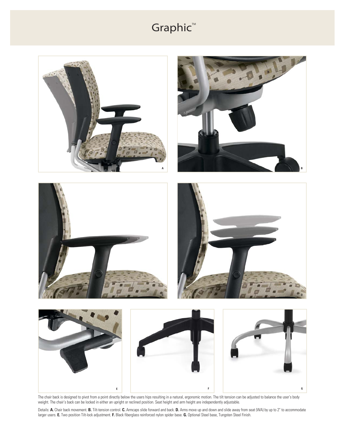## Graphic™



The chair back is designed to pivot from a point directly below the users hips resulting in a natural, ergonomic motion. The tilt tension can be adjusted to balance the user's body weight. The chair's back can be locked in either an upright or reclined position. Seat height and arm height are independently adjustable.

Details: **A.** Chair back movement. **B.** Tilt-tension control. **C.** Armcaps slide forward and back. **D.** Arms move up and down and slide away from seat (WA) by up to 2" to accommodate larger users. **E.** Two position Tilt-lock adjustment. **F.** Black fiberglass reinforced nylon spider base. **G.** Optional Steel base, Tungsten Steel Finish.